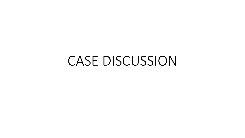# CASE DISCUSSION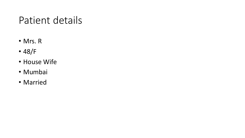## Patient details

- Mrs. R
- 48/F
- House Wife
- Mumbai
- Married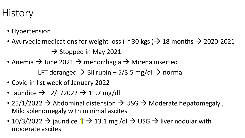## **History**

- Hypertension
- Ayurvedic medications for weight loss (  $\sim$  30 kgs )  $\rightarrow$  18 months  $\rightarrow$  2020-2021  $\rightarrow$  Stopped in May 2021
- Anemia  $\rightarrow$  June 2021  $\rightarrow$  menorrhagia  $\rightarrow$  Mirena inserted LFT deranged  $\rightarrow$  Bilirubin – 5/3.5 mg/dl  $\rightarrow$  normal
- Covid in I st week of January 2022
- Jaundice  $\rightarrow$  12/1/2022  $\rightarrow$  11.7 mg/dl
- 25/1/2022  $\rightarrow$  Abdominal distension  $\rightarrow$  USG  $\rightarrow$  Moderate hepatomegaly, Mild splenomegaly with minimal ascites
- 10/3/2022  $\rightarrow$  jaundice  $\hat{I} \rightarrow 13.1$  mg /dl  $\rightarrow$  USG  $\rightarrow$  liver nodular with moderate ascites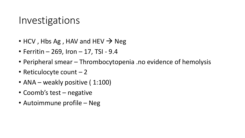#### Investigations

- HCV, Hbs Ag, HAV and HEV  $\rightarrow$  Neg
- Ferritin 269, Iron 17, TSI 9.4
- Peripheral smear Thrombocytopenia .no evidence of hemolysis
- Reticulocyte count 2
- ANA weakly positive (1:100)
- Coomb's test negative
- Autoimmune profile Neg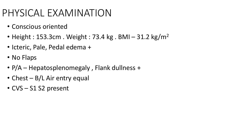# PHYSICAL EXAMINATION

- Conscious oriented
- Height : 153.3cm. Weight : 73.4 kg. BMI 31.2 kg/m<sup>2</sup>
- Icteric, Pale, Pedal edema +
- No Flaps
- P/A Hepatosplenomegaly , Flank dullness +
- Chest B/L Air entry equal
- CVS S1 S2 present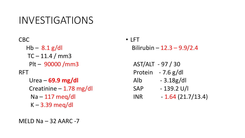CBC  $Hb - 8.1$  g/dl  $TC - 11.4 / mm3$ Plt – 90000 /mm3 RFT Urea – **69.9 mg/dl** Creatinine – 1.78 mg/dl Na – 117 meq/dl K – 3.39 meq/dl

• LFT Bilirubin – 12.3 – 9.9/2.4

AST/ALT - 97 / 30 Protein - 7.6 g/dl Alb - 3.18g/dl SAP - 139.2 U/l  $INR$  - 1.64 (21.7/13.4)

MELD Na  $-$  32 AARC -7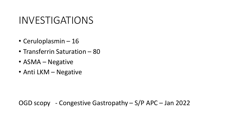- Ceruloplasmin 16
- Transferrin Saturation 80
- ASMA Negative
- Anti LKM Negative

OGD scopy - Congestive Gastropathy – S/P APC – Jan 2022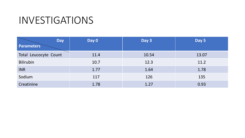| <b>Day</b>            | Day 0 | Day 3 | Day 5 |
|-----------------------|-------|-------|-------|
| <b>Parameters</b>     |       |       |       |
| Total Leucocyte Count | 11.4  | 10.54 | 13.07 |
| <b>Bilirubin</b>      | 10.7  | 12.3  | 11.2  |
| <b>INR</b>            | 1.77  | 1.64  | 1.78  |
| Sodium                | 117   | 126   | 135   |
| Creatinine            | 1.78  | 1.27  | 0.93  |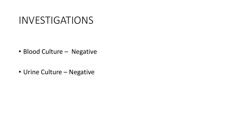- Blood Culture Negative
- Urine Culture Negative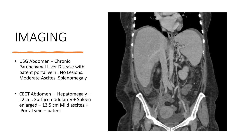# IMAGING

- USG Abdomen Chronic Parenchymal Liver Disease with patent portal vein . No Lesions. Moderate Ascites. Splenomegaly
- CECT Abdomen Hepatomegaly 22cm . Surface nodularity + Spleen enlarged – 13.5 cm Mild ascites + .Portal vein – patent

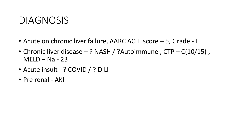#### DIAGNOSIS

- Acute on chronic liver failure, AARC ACLF score 5, Grade I
- Chronic liver disease ? NASH / ?Autoimmune, CTP C(10/15),  $MELD - Na - 23$
- Acute insult ? COVID / ? DILI
- Pre renal AKI